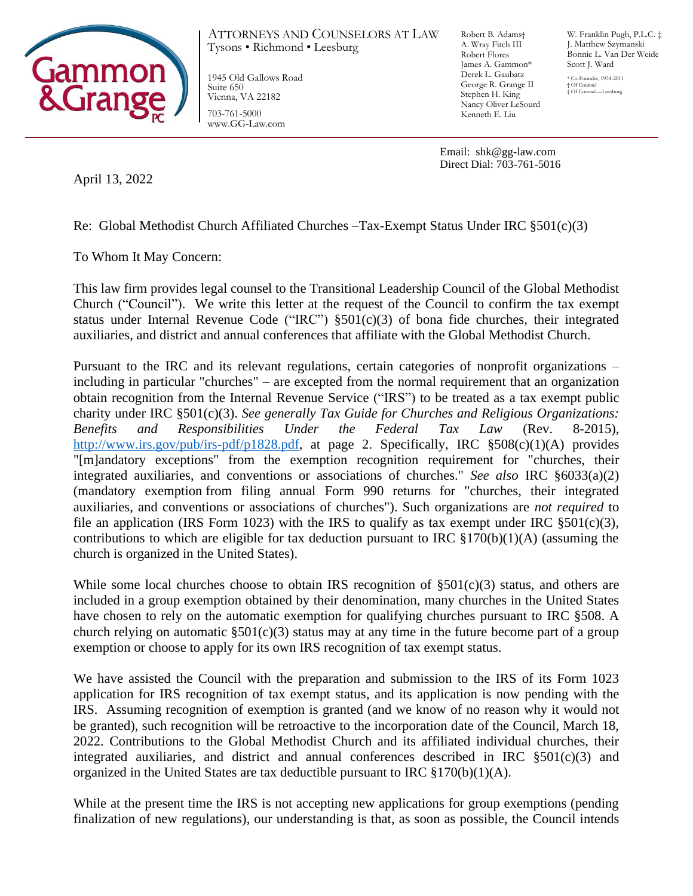

ATTORNEYS AND COUNSELORS AT LAW Robert B. Adams† Tysons • Richmond • Leesburg

1945 Old Gallows Road Suite 650 Vienna, VA 22182 703-761-5000 www.GG-Law.com

A. Wray Fitch III Robert Flores James A. Gammon\* Derek L. Gaubatz George R. Grange II Stephen H. King Nancy Oliver LeSourd Kenneth E. Liu

W. Franklin Pugh, P.L.C. ‡ J. Matthew Szymanski Bonnie L. Van Der Weide Scott J. Ward

\* Co-Founder, 1934-2011 † Of Counsel ‡ Of Counsel—Leesburg

Email: shk@gg-law.com Direct Dial: 703-761-5016

April 13, 2022

Re: Global Methodist Church Affiliated Churches –Tax-Exempt Status Under IRC §501(c)(3)

To Whom It May Concern:

This law firm provides legal counsel to the Transitional Leadership Council of the Global Methodist Church ("Council"). We write this letter at the request of the Council to confirm the tax exempt status under Internal Revenue Code ("IRC")  $\S501(c)(3)$  of bona fide churches, their integrated auxiliaries, and district and annual conferences that affiliate with the Global Methodist Church.

Pursuant to the IRC and its relevant regulations, certain categories of nonprofit organizations – including in particular "churches" – are excepted from the normal requirement that an organization obtain recognition from the Internal Revenue Service ("IRS") to be treated as a tax exempt public charity under IRC §501(c)(3). *See generally Tax Guide for Churches and Religious Organizations: Benefits and Responsibilities Under the Federal Tax Law* (Rev. 8-2015), [http://www.irs.gov/pub/irs-pdf/p1828.pdf,](http://www.irs.gov/pub/irs-pdf/p1828.pdf) at page 2. Specifically, IRC §508(c)(1)(A) provides "[m]andatory exceptions" from the exemption recognition requirement for "churches, their integrated auxiliaries, and conventions or associations of churches." *See also* IRC §6033(a)(2) (mandatory exemption from filing annual Form 990 returns for "churches, their integrated auxiliaries, and conventions or associations of churches"). Such organizations are *not required* to file an application (IRS Form 1023) with the IRS to qualify as tax exempt under IRC  $\S 501(c)(3)$ , contributions to which are eligible for tax deduction pursuant to IRC  $\S170(b)(1)(A)$  (assuming the church is organized in the United States).

While some local churches choose to obtain IRS recognition of  $\S501(c)(3)$  status, and others are included in a group exemption obtained by their denomination, many churches in the United States have chosen to rely on the automatic exemption for qualifying churches pursuant to IRC §508. A church relying on automatic  $\S501(c)(3)$  status may at any time in the future become part of a group exemption or choose to apply for its own IRS recognition of tax exempt status.

We have assisted the Council with the preparation and submission to the IRS of its Form 1023 application for IRS recognition of tax exempt status, and its application is now pending with the IRS. Assuming recognition of exemption is granted (and we know of no reason why it would not be granted), such recognition will be retroactive to the incorporation date of the Council, March 18, 2022. Contributions to the Global Methodist Church and its affiliated individual churches, their integrated auxiliaries, and district and annual conferences described in IRC  $$501(c)(3)$  and organized in the United States are tax deductible pursuant to IRC  $\S170(b)(1)(A)$ .

While at the present time the IRS is not accepting new applications for group exemptions (pending finalization of new regulations), our understanding is that, as soon as possible, the Council intends